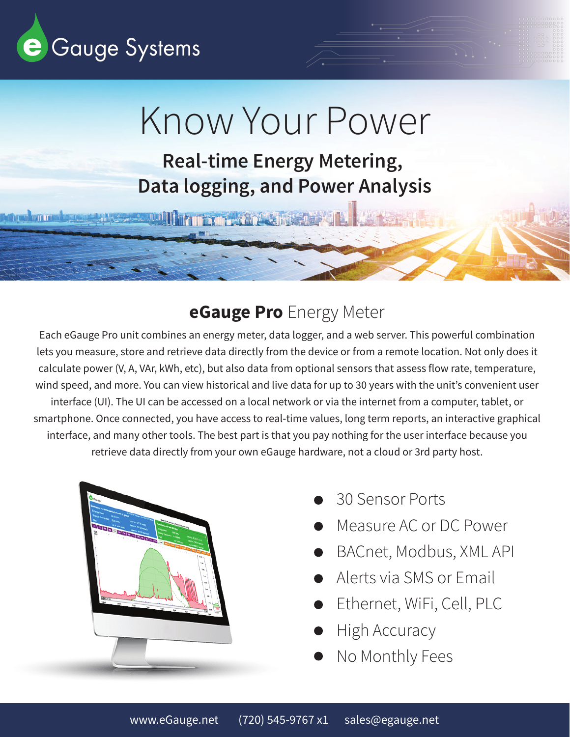

**DE VIETE TERRE** 

# Know Your Power

**Real-time Energy Metering, Data logging, and Power Analysis**

**DOUGHT THE SEAT AND STREET** 

#### **eGauge Pro** Energy Meter

Each eGauge Pro unit combines an energy meter, data logger, and a web server. This powerful combination lets you measure, store and retrieve data directly from the device or from a remote location. Not only does it calculate power (V, A, VAr, kWh, etc), but also data from optional sensors that assess flow rate, temperature, wind speed, and more. You can view historical and live data for up to 30 years with the unit's convenient user interface (UI). The UI can be accessed on a local network or via the internet from a computer, tablet, or smartphone. Once connected, you have access to real-time values, long term reports, an interactive graphical interface, and many other tools. The best part is that you pay nothing for the user interface because you retrieve data directly from your own eGauge hardware, not a cloud or 3rd party host.



- 30 Sensor Ports
- Measure AC or DC Power
- BACnet, Modbus, XML API
- Alerts via SMS or Email
- Ethernet, WiFi, Cell, PLC
- High Accuracy
- No Monthly Fees